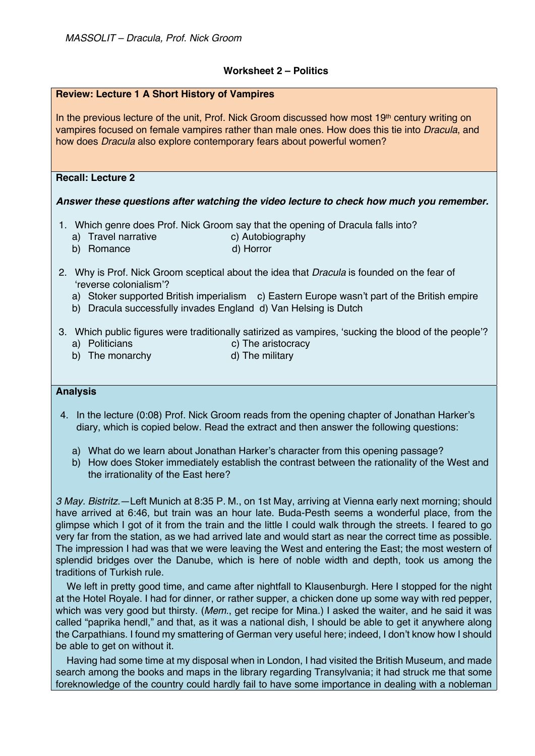## **Worksheet 2 – Politics**

| <b>Review: Lecture 1 A Short History of Vampires</b>                                                                                                                                                                                                                                          |
|-----------------------------------------------------------------------------------------------------------------------------------------------------------------------------------------------------------------------------------------------------------------------------------------------|
| In the previous lecture of the unit, Prof. Nick Groom discussed how most $19th$ century writing on<br>vampires focused on female vampires rather than male ones. How does this tie into Dracula, and<br>how does <i>Dracula</i> also explore contemporary fears about powerful women?         |
| <b>Recall: Lecture 2</b>                                                                                                                                                                                                                                                                      |
| Answer these questions after watching the video lecture to check how much you remember.                                                                                                                                                                                                       |
| 1. Which genre does Prof. Nick Groom say that the opening of Dracula falls into?<br>c) Autobiography<br>a) Travel narrative<br>d) Horror<br>Romance<br>b)                                                                                                                                     |
| 2. Why is Prof. Nick Groom sceptical about the idea that <i>Dracula</i> is founded on the fear of<br>'reverse colonialism'?<br>a) Stoker supported British imperialism c) Eastern Europe wasn't part of the British empire<br>b) Dracula successfully invades England d) Van Helsing is Dutch |
| 3. Which public figures were traditionally satirized as vampires, 'sucking the blood of the people'?<br>a) Politicians<br>c) The aristocracy<br>d) The military<br>The monarchy<br>b)                                                                                                         |
| <b>Analysis</b>                                                                                                                                                                                                                                                                               |

4. In the lecture (0:08) Prof. Nick Groom reads from the opening chapter of Jonathan Harker's diary, which is copied below. Read the extract and then answer the following questions:

- a) What do we learn about Jonathan Harker's character from this opening passage?
- b) How does Stoker immediately establish the contrast between the rationality of the West and the irrationality of the East here?

*3 May. Bistritz.*—Left Munich at 8:35 P. M., on 1st May, arriving at Vienna early next morning; should have arrived at 6:46, but train was an hour late. Buda-Pesth seems a wonderful place, from the glimpse which I got of it from the train and the little I could walk through the streets. I feared to go very far from the station, as we had arrived late and would start as near the correct time as possible. The impression I had was that we were leaving the West and entering the East; the most western of splendid bridges over the Danube, which is here of noble width and depth, took us among the traditions of Turkish rule.

We left in pretty good time, and came after nightfall to Klausenburgh. Here I stopped for the night at the Hotel Royale. I had for dinner, or rather supper, a chicken done up some way with red pepper, which was very good but thirsty. (*Mem.*, get recipe for Mina.) I asked the waiter, and he said it was called "paprika hendl," and that, as it was a national dish, I should be able to get it anywhere along the Carpathians. I found my smattering of German very useful here; indeed, I don't know how I should be able to get on without it.

Having had some time at my disposal when in London, I had visited the British Museum, and made search among the books and maps in the library regarding Transylvania; it had struck me that some foreknowledge of the country could hardly fail to have some importance in dealing with a nobleman